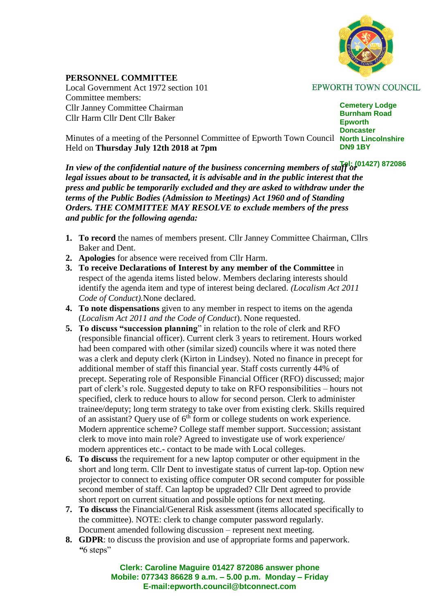

**PERSONNEL COMMITTEE** Local Government Act 1972 section 101 Committee members: Cllr Janney Committee Chairman Cllr Harm Cllr Dent Cllr Baker

**EPWORTH TOWN COUNCIL** 

**Cemetery Lodge Burnham Road Epworth Doncaster DN9 1BY**

Minutes of a meeting of the Personnel Committee of Epworth Town Council North Lincolnshire Held on **Thursday July 12th 2018 at 7pm**

In view of the confidential nature of the business concerning members of staff or <sup>[4]</sup>: (01427) 872086 *legal issues about to be transacted, it is advisable and in the public interest that the press and public be temporarily excluded and they are asked to withdraw under the terms of the Public Bodies (Admission to Meetings) Act 1960 and of Standing Orders. THE COMMITTEE MAY RESOLVE to exclude members of the press and public for the following agenda:*

- **1. To record** the names of members present. Cllr Janney Committee Chairman, Cllrs Baker and Dent.
- **2. Apologies** for absence were received from Cllr Harm.
- **3. To receive Declarations of Interest by any member of the Committee** in respect of the agenda items listed below. Members declaring interests should identify the agenda item and type of interest being declared. *(Localism Act 2011 Code of Conduct).*None declared.
- **4. To note dispensations** given to any member in respect to items on the agenda (*Localism Act 2011 and the Code of Conduct*). None requested.
- **5. To discuss "succession planning**" in relation to the role of clerk and RFO (responsible financial officer). Current clerk 3 years to retirement. Hours worked had been compared with other (similar sized) councils where it was noted there was a clerk and deputy clerk (Kirton in Lindsey). Noted no finance in precept for additional member of staff this financial year. Staff costs currently 44% of precept. Seperating role of Responsible Financial Officer (RFO) discussed; major part of clerk's role. Suggested deputy to take on RFO responsibilities – hours not specified, clerk to reduce hours to allow for second person. Clerk to administer trainee/deputy; long term strategy to take over from existing clerk. Skills required of an assistant? Query use of  $6<sup>th</sup>$  form or college students on work experience. Modern apprentice scheme? College staff member support. Succession; assistant clerk to move into main role? Agreed to investigate use of work experience/ modern apprentices etc.- contact to be made with Local colleges.
- **6. To discuss** the requirement for a new laptop computer or other equipment in the short and long term. Cllr Dent to investigate status of current lap-top. Option new projector to connect to existing office computer OR second computer for possible second member of staff. Can laptop be upgraded? Cllr Dent agreed to provide short report on current situation and possible options for next meeting.
- **7. To discuss** the Financial/General Risk assessment (items allocated specifically to the committee). NOTE: clerk to change computer password regularly. Document amended following discussion – represent next meeting.
- **8. GDPR**: to discuss the provision and use of appropriate forms and paperwork.  *"*6 steps"

**Clerk: Caroline Maguire 01427 872086 answer phone Mobile: 077343 86628 9 a.m. – 5.00 p.m. Monday – Friday E-mail:epworth.council@btconnect.com**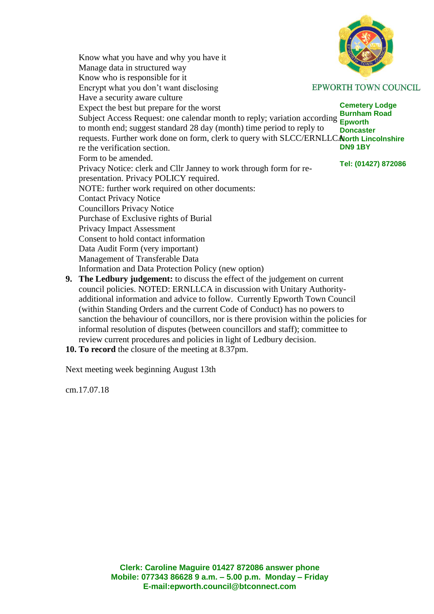Know what you have and why you have it Manage data in structured way Know who is responsible for it Encrypt what you don't want disclosing **EPWORTH TOWN COUNCIL**  Have a security aware culture **Cemetery Lodge** Expect the best but prepare for the worst **Burnham Road Subject Access Request: one calendar month to reply; variation according Epworth**  to month end; suggest standard 28 day (month) time period to reply to **Doncaster** requests. Further work done on form, clerk to query with SLCC/ERNLLCAlorth Lincolnshire re the verification section. **DN9 1BY** Form to be amended. **Tel: (01427) 872086** Privacy Notice: clerk and Cllr Janney to work through form for re presentation. Privacy POLICY required. NOTE: further work required on other documents: Contact Privacy Notice Councillors Privacy Notice Purchase of Exclusive rights of Burial Privacy Impact Assessment Consent to hold contact information Data Audit Form (very important) Management of Transferable Data Information and Data Protection Policy (new option)

- **9. The Ledbury judgement:** to discuss the effect of the judgement on current council policies. NOTED: ERNLLCA in discussion with Unitary Authorityadditional information and advice to follow. Currently Epworth Town Council (within Standing Orders and the current Code of Conduct) has no powers to sanction the behaviour of councillors, nor is there provision within the policies for informal resolution of disputes (between councillors and staff); committee to review current procedures and policies in light of Ledbury decision.
- **10. To record** the closure of the meeting at 8.37pm.

Next meeting week beginning August 13th

cm.17.07.18